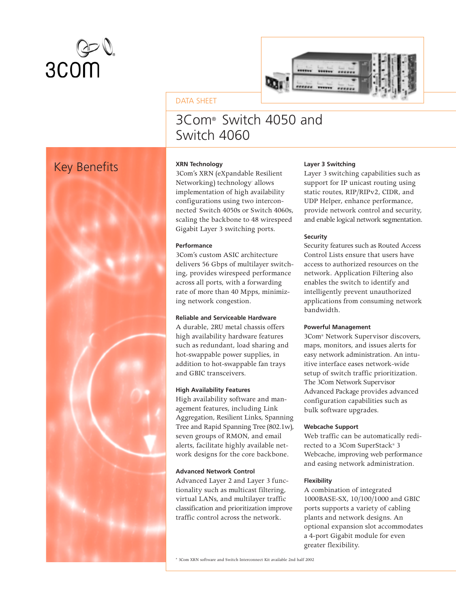



# DATA SHEET

# 3Com® Switch 4050 and Switch 4060

# Key Benefits **XRN Technology**



3Com's XRN (eXpandable Resilient Networking) technology' allows implementation of high availability configurations using two interconnected Switch 4050s or Switch 4060s, scaling the backbone to 48 wirespeed Gigabit Layer 3 switching ports.

# **Performance**

3Com's custom ASIC architecture delivers 56 Gbps of multilayer switching, provides wirespeed performance across all ports, with a forwarding rate of more than 40 Mpps, minimizing network congestion.

### **Reliable and Serviceable Hardware**

A durable, 2RU metal chassis offers high availability hardware features such as redundant, load sharing and hot-swappable power supplies, in addition to hot-swappable fan trays and GBIC transceivers.

### **High Availability Features**

High availability software and management features, including Link Aggregation, Resilient Links, Spanning Tree and Rapid Spanning Tree (802.1w), seven groups of RMON, and email alerts, facilitate highly available network designs for the core backbone.

### **Advanced Network Control**

Advanced Layer 2 and Layer 3 functionality such as multicast filtering, virtual LANs, and multilayer traffic classification and prioritization improve traffic control across the network.

### **Layer 3 Switching**

Layer 3 switching capabilities such as support for IP unicast routing using static routes, RIP/RIPv2, CIDR, and UDP Helper, enhance performance, provide network control and security, and enable logical network segmentation.

# **Security**

Security features such as Routed Access Control Lists ensure that users have access to authorized resources on the network. Application Filtering also enables the switch to identify and intelligently prevent unauthorized applications from consuming network bandwidth.

# **Powerful Management**

3Com® Network Supervisor discovers, maps, monitors, and issues alerts for easy network administration. An intuitive interface eases network-wide setup of switch traffic prioritization. The 3Com Network Supervisor Advanced Package provides advanced configuration capabilities such as bulk software upgrades.

# **Webcache Support**

Web traffic can be automatically redirected to a 3Com SuperStack® 3 Webcache, improving web performance and easing network administration.

# **Flexibility**

A combination of integrated 1000BASE-SX, 10/100/1000 and GBIC ports supports a variety of cabling plants and network designs. An optional expansion slot accommodates a 4-port Gigabit module for even greater flexibility.

\* 3Com XRN software and Switch Interconnect Kit available 2nd half 2002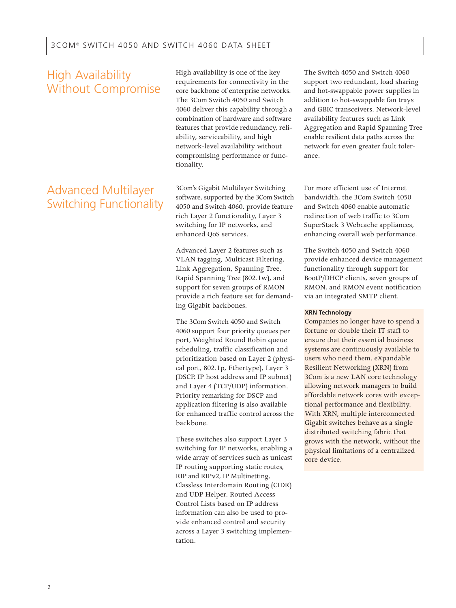# High Availability Without Compromise

# Advanced Multilayer Switching Functionality

High availability is one of the key requirements for connectivity in the core backbone of enterprise networks. The 3Com Switch 4050 and Switch 4060 deliver this capability through a combination of hardware and software features that provide redundancy, reliability, serviceability, and high network-level availability without compromising performance or functionality.

3Com's Gigabit Multilayer Switching software, supported by the 3Com Switch 4050 and Switch 4060, provide feature rich Layer 2 functionality, Layer 3 switching for IP networks, and enhanced QoS services.

Advanced Layer 2 features such as VLAN tagging, Multicast Filtering, Link Aggregation, Spanning Tree, Rapid Spanning Tree (802.1w), and support for seven groups of RMON provide a rich feature set for demanding Gigabit backbones.

The 3Com Switch 4050 and Switch 4060 support four priority queues per port, Weighted Round Robin queue scheduling, traffic classification and prioritization based on Layer 2 (physical port, 802.1p, Ethertype), Layer 3 (DSCP, IP host address and IP subnet) and Layer 4 (TCP/UDP) information. Priority remarking for DSCP and application filtering is also available for enhanced traffic control across the backbone.

These switches also support Layer 3 switching for IP networks, enabling a wide array of services such as unicast IP routing supporting static routes, RIP and RIPv2, IP Multinetting, Classless Interdomain Routing (CIDR) and UDP Helper. Routed Access Control Lists based on IP address information can also be used to provide enhanced control and security across a Layer 3 switching implementation.

The Switch 4050 and Switch 4060 support two redundant, load sharing and hot-swappable power supplies in addition to hot-swappable fan trays and GBIC transceivers. Network-level availability features such as Link Aggregation and Rapid Spanning Tree enable resilient data paths across the network for even greater fault tolerance.

For more efficient use of Internet bandwidth, the 3Com Switch 4050 and Switch 4060 enable automatic redirection of web traffic to 3Com SuperStack 3 Webcache appliances, enhancing overall web performance.

The Switch 4050 and Switch 4060 provide enhanced device management functionality through support for BootP/DHCP clients, seven groups of RMON, and RMON event notification via an integrated SMTP client.

### **XRN Technology**

Companies no longer have to spend a fortune or double their IT staff to ensure that their essential business systems are continuously available to users who need them. eXpandable Resilient Networking (XRN) from 3Com is a new LAN core technology allowing network managers to build affordable network cores with exceptional performance and flexibility. With XRN, multiple interconnected Gigabit switches behave as a single distributed switching fabric that grows with the network, without the physical limitations of a centralized core device.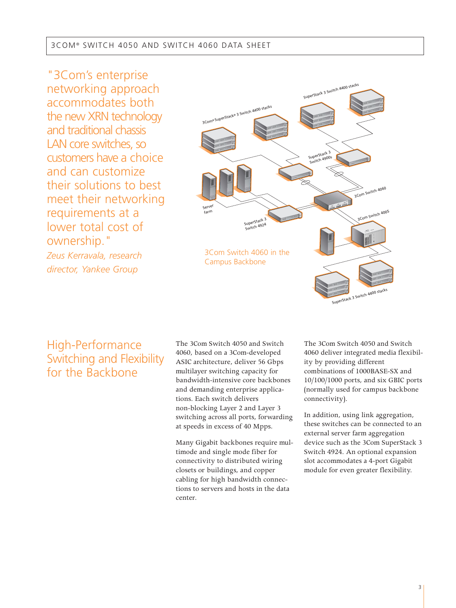"3Com's enterprise networking approach accommodates both the new XRN technology and traditional chassis LAN core switches, so customers have a choice and can customize their solutions to best meet their networking requirements at a lower total cost of ownership." *Zeus Kerravala, research director, Yankee Group*



# High-Performance Switching and Flexibility for the Backbone

The 3Com Switch 4050 and Switch 4060, based on a 3Com-developed ASIC architecture, deliver 56 Gbps multilayer switching capacity for bandwidth-intensive core backbones and demanding enterprise applications. Each switch delivers non-blocking Layer 2 and Layer 3 switching across all ports, forwarding at speeds in excess of 40 Mpps.

Many Gigabit backbones require multimode and single mode fiber for connectivity to distributed wiring closets or buildings, and copper cabling for high bandwidth connections to servers and hosts in the data center.

The 3Com Switch 4050 and Switch 4060 deliver integrated media flexibility by providing different combinations of 1000BASE-SX and 10/100/1000 ports, and six GBIC ports (normally used for campus backbone connectivity).

In addition, using link aggregation, these switches can be connected to an external server farm aggregation device such as the 3Com SuperStack 3 Switch 4924. An optional expansion slot accommodates a 4-port Gigabit module for even greater flexibility.